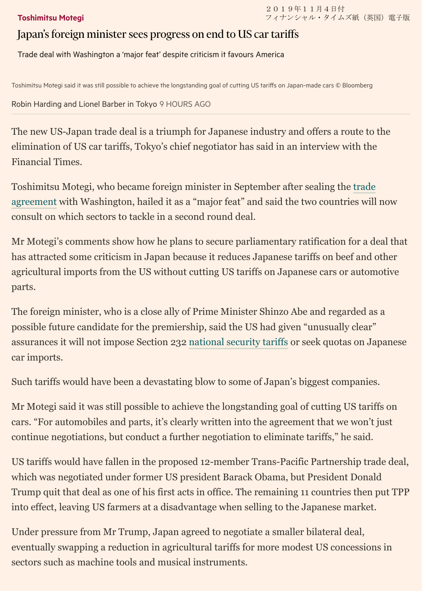## [Toshimitsu Motegi](https://www.ft.com/stream/d77a09c7-2e4f-40fa-a35b-1f05a8db9838)

## Japan's foreign minister sees progress on end to US car tariffs

Trade deal with Washington a 'major feat' despite criticism it favours America

Toshimitsu Motegi said it was still possible to achieve the longstanding goal of cutting US tariffs on Japan-made cars © Bloomberg

[Robin Harding](https://www.ft.com/stream/1f87e6a9-f548-4c3b-bc88-57ae030c2e7d) and [Lionel Barber](https://www.ft.com/lionel-barber) in Tokyo 9 HOURS AGO

The new US-Japan trade deal is a triumph for Japanese industry and offers a route to the elimination of US car tariffs, Tokyo's chief negotiator has said in an interview with the Financial Times.

Toshimitsu Motegi, who became foreign minister in September after sealing the trade [agreement with Washington, hailed it as a "major feat" and said the two countries will](https://www.ft.com/content/8590d3be-dfb4-11e9-9743-db5a370481bc) now consult on which sectors to tackle in a second round deal.

Mr Motegi's comments show how he plans to secure parliamentary ratification for a deal that has attracted some criticism in Japan because it reduces Japanese tariffs on beef and other agricultural imports from the US without cutting US tariffs on Japanese cars or automotive parts.

The foreign minister, who is a close ally of Prime Minister Shinzo Abe and regarded as a possible future candidate for the premiership, said the US had given "unusually clear" assurances it will not impose Section 232 [national security tariffs](https://www.ft.com/content/438530b6-e039-11e9-9743-db5a370481bc) or seek quotas on Japanese car imports.

Such tariffs would have been a devastating blow to some of Japan's biggest companies.

Mr Motegi said it was still possible to achieve the longstanding goal of cutting US tariffs on cars. "For automobiles and parts, it's clearly written into the agreement that we won't just continue negotiations, but conduct a further negotiation to eliminate tariffs," he said.

US tariffs would have fallen in the proposed 12-member Trans-Pacific Partnership trade deal, which was negotiated under former US president Barack Obama, but President Donald Trump quit that deal as one of his first acts in office. The remaining 11 countries then put TPP into effect, leaving US farmers at a disadvantage when selling to the Japanese market.

Under pressure from Mr Trump, Japan agreed to negotiate a smaller bilateral deal, eventually swapping a reduction in agricultural tariffs for more modest US concessions in sectors such as machine tools and musical instruments.